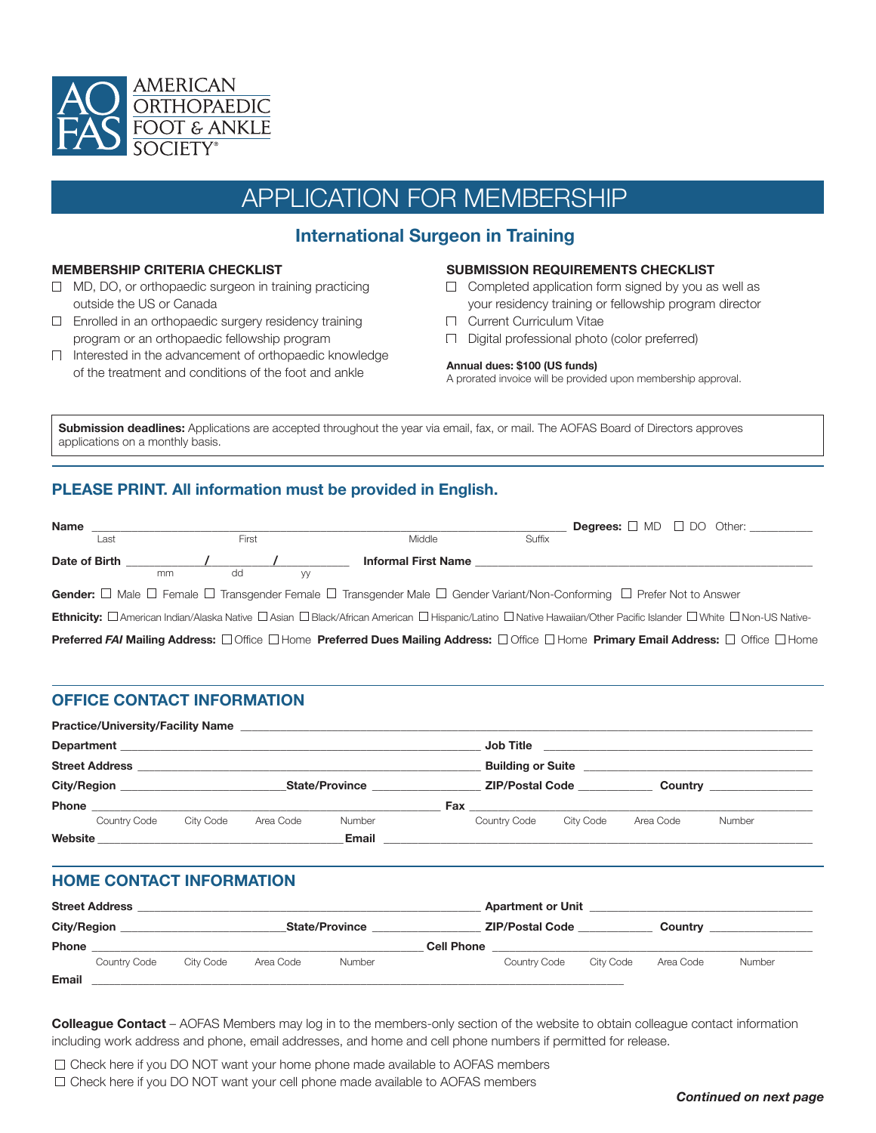

# APPLICATION FOR MEMBERSHIP

# **International Surgeon in Training**

#### **MEMBERSHIP CRITERIA CHECKLIST**

- $\Box$  MD, DO, or orthopaedic surgeon in training practicing outside the US or Canada
- Enrolled in an orthopaedic surgery residency training program or an orthopaedic fellowship program
- $\Box$  Interested in the advancement of orthopaedic knowledge of the treatment and conditions of the foot and ankle

#### **SUBMISSION REQUIREMENTS CHECKLIST**

- $\Box$  Completed application form signed by you as well as your residency training or fellowship program director
- **Current Curriculum Vitae**
- Digital professional photo (color preferred)

#### **Annual dues: \$100 (US funds)**

A prorated invoice will be provided upon membership approval.

**Submission deadlines:** Applications are accepted throughout the year via email, fax, or mail. The AOFAS Board of Directors approves applications on a monthly basis.

## **PLEASE PRINT. All information must be provided in English.**

| Name                                                                                                                                                                   |      |    |       |                                                                                                                                                            |                            |        |  |  | <b>Degrees:</b> $\Box$ MD $\Box$ DO Other: __________ |  |
|------------------------------------------------------------------------------------------------------------------------------------------------------------------------|------|----|-------|------------------------------------------------------------------------------------------------------------------------------------------------------------|----------------------------|--------|--|--|-------------------------------------------------------|--|
|                                                                                                                                                                        | Last |    | First |                                                                                                                                                            | Middle                     | Suffix |  |  |                                                       |  |
|                                                                                                                                                                        |      |    |       |                                                                                                                                                            | <b>Informal First Name</b> |        |  |  |                                                       |  |
|                                                                                                                                                                        |      | mm | dd    | W                                                                                                                                                          |                            |        |  |  |                                                       |  |
| Gender: □ Male □ Female □ Transgender Female □ Transgender Male □ Gender Variant/Non-Conforming □ Prefer Not to Answer                                                 |      |    |       |                                                                                                                                                            |                            |        |  |  |                                                       |  |
| <b>Ethnicity:</b> □ American Indian/Alaska Native □ Asian □ Black/African American □ Hispanic/Latino □ Native Hawaiian/Other Pacific Islander □ White □ Non-US Native- |      |    |       |                                                                                                                                                            |                            |        |  |  |                                                       |  |
|                                                                                                                                                                        |      |    |       | <b>Preferred FAI Mailing Address:</b> □ Office □ Home <b>Preferred Dues Mailing Address:</b> □ Office □ Home <b>Primary Email Address:</b> □ Office □ Home |                            |        |  |  |                                                       |  |

## **OFFICE CONTACT INFORMATION**

|                       |              |           |                       | Practice/University/Facility Name |  |                 |           |                        |        |  |  |
|-----------------------|--------------|-----------|-----------------------|-----------------------------------|--|-----------------|-----------|------------------------|--------|--|--|
|                       |              |           |                       |                                   |  |                 |           |                        |        |  |  |
| <b>Street Address</b> |              |           |                       |                                   |  |                 |           |                        |        |  |  |
| City/Region           |              |           | <b>State/Province</b> |                                   |  | ZIP/Postal Code |           | Country <u>Country</u> |        |  |  |
|                       |              |           |                       |                                   |  |                 |           |                        |        |  |  |
|                       | Country Code | City Code | Area Code             | Number                            |  | Country Code    | City Code | Area Code              | Number |  |  |
| Website               |              |           |                       | Email                             |  |                 |           |                        |        |  |  |

## **HOME CONTACT INFORMATION**

| <b>Street Address</b> |              |           |           | <b>Apartment or Unit</b> |                        |              |           |           |               |  |
|-----------------------|--------------|-----------|-----------|--------------------------|------------------------|--------------|-----------|-----------|---------------|--|
| <b>City/Region</b>    |              |           |           | <b>State/Province</b>    | <b>ZIP/Postal Code</b> |              |           | Country   |               |  |
| <b>Phone</b>          |              |           |           |                          | <b>Cell Phone</b>      |              |           |           |               |  |
|                       | Country Code | City Code | Area Code | <b>Number</b>            |                        | Country Code | City Code | Area Code | <b>Number</b> |  |
| <b>Email</b>          |              |           |           |                          |                        |              |           |           |               |  |

**Colleague Contact** – AOFAS Members may log in to the members-only section of the website to obtain colleague contact information including work address and phone, email addresses, and home and cell phone numbers if permitted for release.

 $\Box$  Check here if you DO NOT want your home phone made available to AOFAS members  $\Box$  Check here if you DO NOT want your cell phone made available to AOFAS members